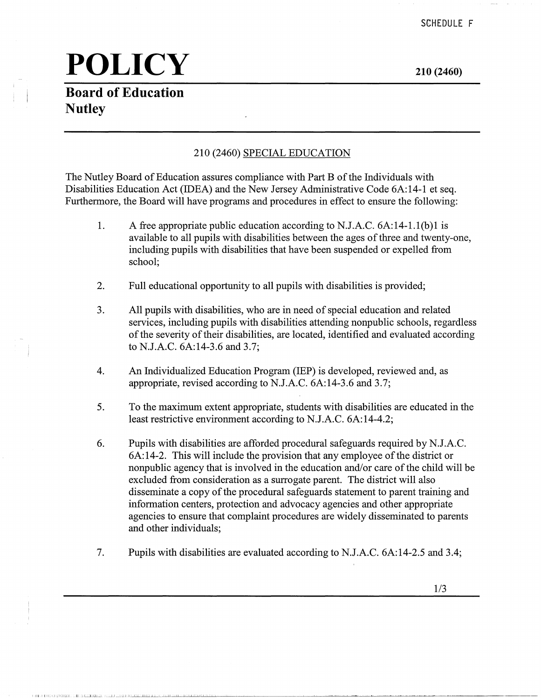**Board of Education Nutley** 

! ii I! 1, 1111': 1,.1 0[1 '..J L.:.:SW[Ll.i...J\_ J ,\_,\_J\_[ \_\_ LLJJ,il IIJ~~lilliLJ....J,\_J \_\_ .L..l.L..~.lL...:...l.!..L-

**210 (2460)** 

#### 210 (2460) SPECIAL EDUCATION

The Nutley Board of Education assures compliance with Part B of the Individuals with Disabilities Education Act (IDEA) and the New Jersey Administrative Code 6A:14-1 et seq. Furthermore, the Board will have programs and procedures in effect to ensure the following:

- 1. A free appropriate public education according to N.J.A.C. 6A:14-1.l(b)l is available to all pupils with disabilities between the ages of three and twenty-one, including pupils with disabilities that have been suspended or expelled from school;
- 2. Full educational opportunity to all pupils with disabilities is provided;
- 3. All pupils with disabilities, who are in need of special education and related services, including pupils with disabilities attending nonpublic schools, regardless of the severity of their disabilities, are located, identified and evaluated according to N.J.A.C. 6A:14-3.6 and 3.7;
- 4. An Individualized Education Program (IEP) is developed, reviewed and, as appropriate, revised according to N.J.A.C. 6A:14-3.6 and 3.7;
- 5. To the maximum extent appropriate, students with disabilities are educated in the least restrictive environment according to N.J.A.C. 6A:14-4.2;
- 6. Pupils with disabilities are afforded procedural safeguards required by N.J.A.C. 6A: 14-2. This will include the provision that any employee of the district or nonpublic agency that is involved in the education and/or care of the child will be excluded from consideration as a surrogate parent. The district will also disseminate a copy of the procedural safeguards statement to parent training and information centers, protection and advocacy agencies and other appropriate agencies to ensure that complaint procedures are widely disseminated to parents and other individuals;
- 7. Pupils with disabilities are evaluated according to N.J.A.C. 6A:14-2.5 and 3.4;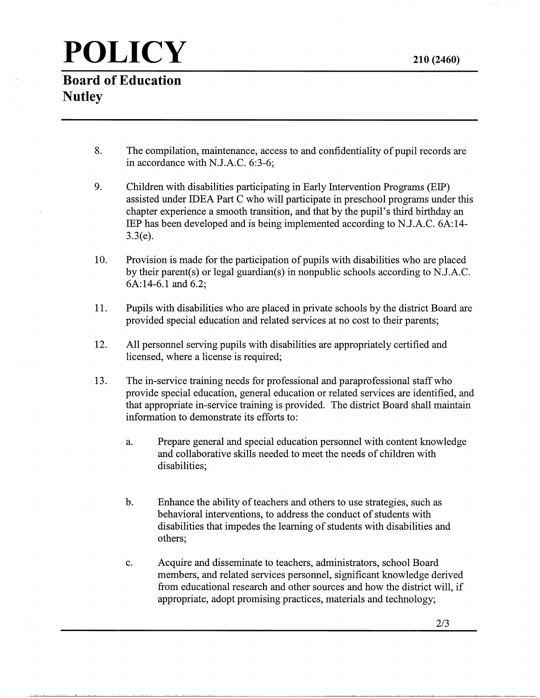**Board of Education Nutley** 

- 8. The compilation, maintenance, access to and confidentiality of pupil records are in accordance with N.J.A.C. 6:3-6;
- 9. Children with disabilities participating in Early Intervention Programs (EIP) assisted under IDEA Part C who will participate in preschool programs under this chapter experience a smooth transition, and that by the pupil's third birthday an IBP has been developed and is being implemented according to N.J.A.C. 6A:14- 3.3(e).
- 10. Provision is made for the participation of pupils with disabilities who are placed by their parent(s) or legal guardian(s) in nonpublic schools according to N.J.A.C. 6A:14-6.l and 6.2;
- 11. Pupils with disabilities who are placed in private schools by the district Board are provided special education and related services at no cost to their parents;
- 12. All personnel serving pupils with disabilities are appropriately certified and licensed, where a license is required;
- 13. The in-service training needs for professional and paraprofessional staff who provide special education, general education or related services are identified, and that appropriate in-service training is provided. The district Board shall maintain information to demonstrate its efforts to:
	- a. Prepare general and special education personnel with content knowledge and collaborative skills needed to meet the needs of children with disabilities;
	- b. Enhance the ability of teachers and others to use strategies, such as behavioral interventions, to address the conduct of students with disabilities that impedes the learning of students with disabilities and others;
	- c. Acquire and disseminate to teachers, administrators, school Board members, and related services personnel, significant knowledge derived from educational research and other sources and how the district will, if appropriate, adopt promising practices, materials and technology;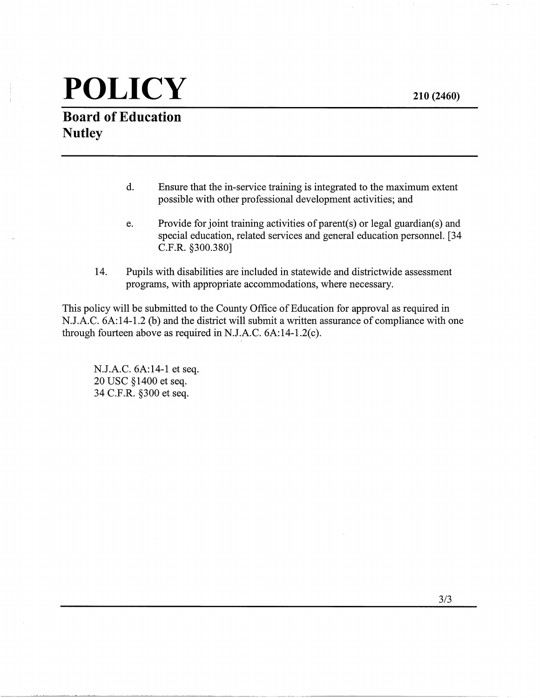**210 (2460)** 

# **POLICY**

#### **Board of Education Nutley**

- d. Ensure that the in-service training is integrated to the maximum extent possible with other professional development activities; and
- e. Provide for joint training activities of parent(s) or legal guardian(s) and special education, related services and general education personnel. [34 C.F.R. §300.380]

--- --------·-~ ---------------

14. Pupils with disabilities are included in statewide and districtwide assessment programs, with appropriate accommodations, where necessary.

This policy will be submitted to the County Office of Education for approval as required in N.J.A.C. 6A:14-1.2 (b) and the district will submit a written assurance of compliance with one through fourteen above as required in N.J.A.C. 6A:14-1.2(c).

N.J.A.C. 6A:14-1 et seq. 20 USC §1400 et seq. 34 C.F.R. §300 et seq.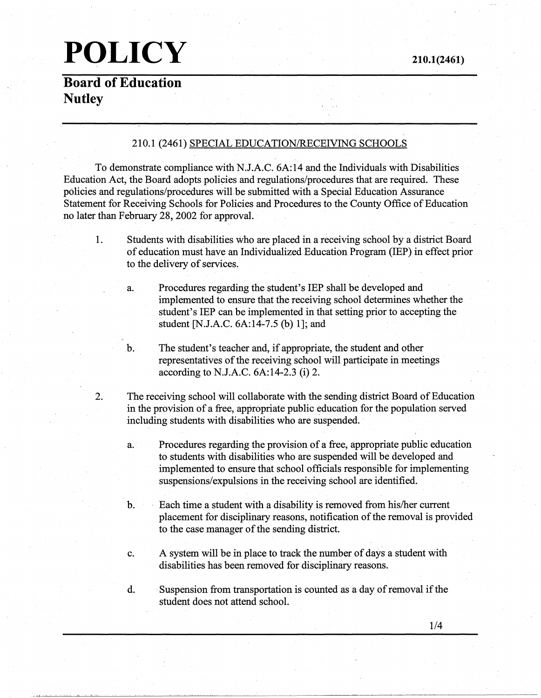**Board of Education Nutley** 

#### 210.1 (2461) SPECIAL EDUCATION/RECEIVING SCHOOLS

To demonstrate compliance with N.J.A.C. 6A:14 and the Individuals with Disabilities Education Act, the Board adopts policies and regulations/procedures that are required. These policies and regulations/procedures will be submitted with a Special Education Assurance Statement for Receiving Schools for Policies and Procedures to the County Office of Education no later than February 28, 2002 for approval.

- 1. Students with disabilities who are placed in a receiving school by a district Board of education must have an Individualized Education Program (IEP) in effect prior to the delivery of services.
	- a. Procedures regarding the student's IEP shall be developed and implemented to ensure that the receiving school determines whether the student's IEP can be implemented in that setting prior to accepting the student [N.J.A.C. 6A:14-7.5 (b) 1]; and
	- b. The student's teacher and, if appropriate, the student and other representatives of the receiving school will participate in meetings according to N.J.A.C. 6A:I4-2.3 (i) 2.
- 2. The receiving school will collaborate with the sending district Board of Education in the provision of a free, appropriate public education for the population served including students with disabilities who are suspended.
	- a. Procedures regarding the provision of a free, appropriate public education to students with disabilities who are suspended will be developed and implemented to ensure that school officials responsible for implementing suspensions/expulsions in the receiving school are identified.
	- b. Each time a student with a disability is removed from his/her current placement for disciplinary reasons, notification of the removal is provided to the case manager of the sending district.
	- c. A system will be in place to track the number of days a student with disabilities has been removed for disciplinary reasons.
	- d. · Suspension from transportation is counted as a day of removal if the student does not attend school.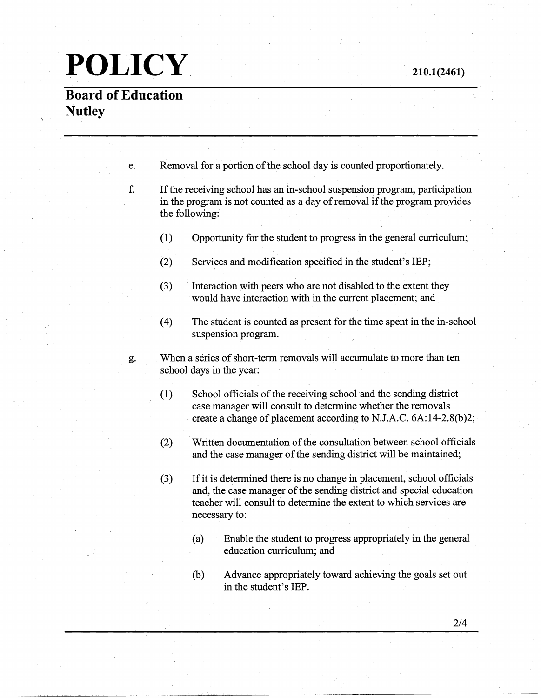### **Board of Education Nutley**

suspension program.

| e. |                                                                                                                                                                           | Removal for a portion of the school day is counted proportionately.                                                         |  |
|----|---------------------------------------------------------------------------------------------------------------------------------------------------------------------------|-----------------------------------------------------------------------------------------------------------------------------|--|
| f. | If the receiving school has an in-school suspension program, participation<br>in the program is not counted as a day of removal if the program provides<br>the following: |                                                                                                                             |  |
|    | (1)                                                                                                                                                                       | Opportunity for the student to progress in the general curriculum;                                                          |  |
|    | (2)                                                                                                                                                                       | Services and modification specified in the student's IEP;                                                                   |  |
|    | (3)                                                                                                                                                                       | Interaction with peers who are not disabled to the extent they<br>would have interaction with in the current placement; and |  |
|    | $\left(4\right)$                                                                                                                                                          | The student is counted as present for the time spent in the in-school                                                       |  |

- g. When a series of short-term removals will accumulate to more than ten school days in the year:
	- (1) School officials of the receiving school and the sending district case manager will consult to determine whether the removals create a change of placement according to N.J.A.C. 6A:14-2.8(b)2;
	- (2) Written documentation of the consultation between school officials and the case manager of the sending district will be maintained;
	- (3) If it is determined there is no change in placement, school officials and, the case manager of the sending district and special education teacher will consult to determine the extent to which services are necessary to:
		- (a) Enable the student to progress appropriately in the general education curriculum; and
		- (b) Advance appropriately toward achieving the goals set out in the student's IEP.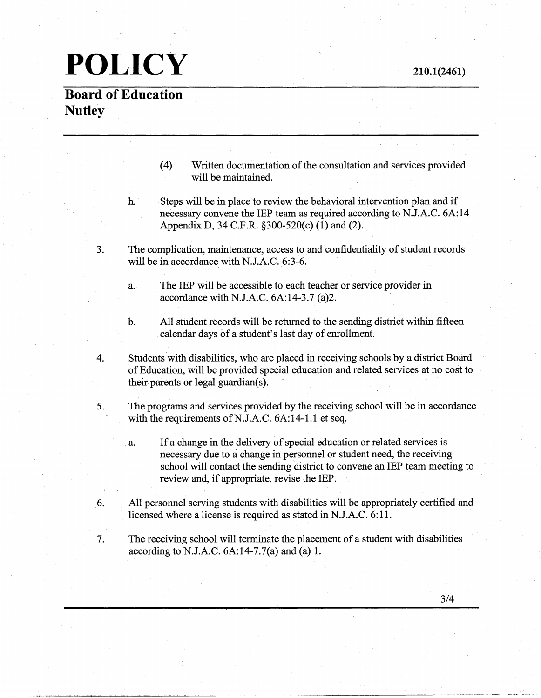## **POLICY 210.1(2461)**

#### **Board of Education Nutley**

- (4) Written documentation of the consultation and services provided will be maintained.
- h. Steps will be in place to review the behavioral intervention plan and if necessary convene the IEP team as required according to N.J.A.C. 6A:14 Appendix D, 34 C.F.R. §300-520(c) (1) and (2).
- 3. The complication, maintenance, access to and confidentiality of student records will be in accordance with N.J.A.C. 6:3-6.
	- a. The IEP will be accessible to each teacher or service provider in accordance with N.J.A.C. 6A:14-3.7 (a)2.
	- b. All student records will be returned to the sending district within fifteen calendar days of a student's last day of enrollment.
- 4. Students with disabilities, who are placed in receiving schools by a district Board of Education, will be provided special education and related services at no cost to their parents or legal guardian(s).
- 5. The programs and services provided by the receiving school will be in accordance with the requirements of N.J.A.C.  $6A:14-1.1$  et seq.
	- a. If a change in the delivery of special education or related services is necessary due to a change in personnel or student need, the receiving school will contact the sending district to convene an IEP team meeting to review and, if appropriate, revise the IEP.
- 6. All personnel serving students with disabilities will be appropriately certified and licensed where a license is required as stated in N.J.A.C. 6:11.
- 7. The receiving school will terminate the placement of a student with disabilities according to N.J.A.C.  $6A:14-7.7(a)$  and  $(a) 1$ .